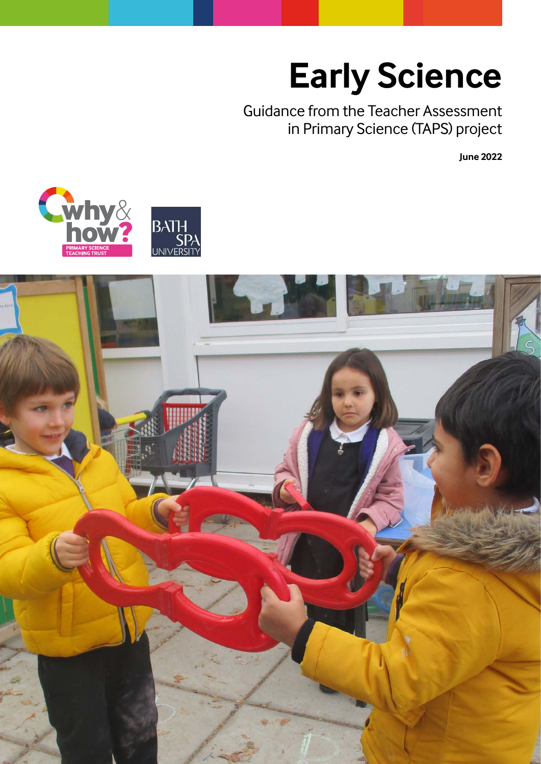# **Early Science**

Guidance from the Teacher Assessment in Primary Science (TAPS) project

**June 2022**



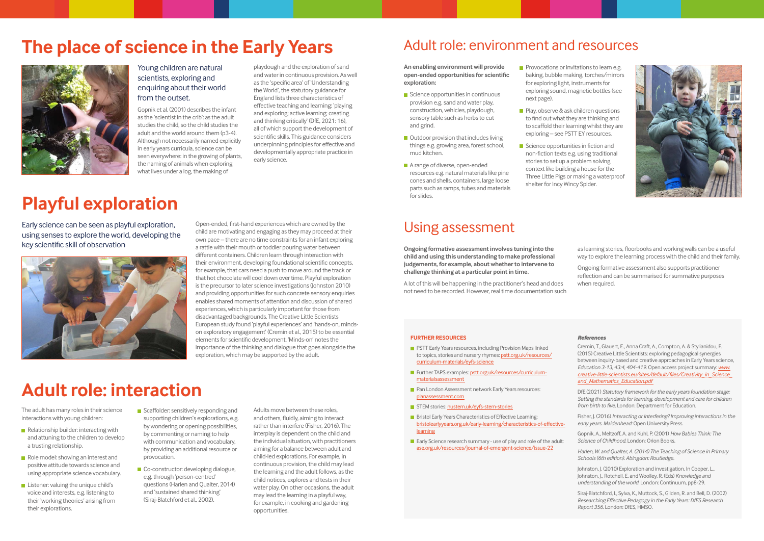## **The place of science in the Early Years**



**Playful exploration**

### **Adult role: interaction**

### Adult role: environment and resources

### Using assessment

### Young children are natural scientists, exploring and enquiring about their world from the outset.

Gopnik et al. (2001) describes the infant as the 'scientist in the crib': as the adult studies the child, so the child studies the adult and the world around them (p3-4). Although not necessarily named explicitly in early years curricula, science can be seen everywhere: in the growing of plants, the naming of animals when exploring what lives under a log, the making of

playdough and the exploration of sand and water in continuous provision. As well as the 'specific area' of 'Understanding the World', the statutory guidance for England lists three characteristics of effective teaching and learning: 'playing and exploring; active learning; creating and thinking critically' (DfE, 2021: 16), all of which support the development of scientific skills. This guidance considers underpinning principles for effective and developmentally appropriate practice in

early science.

Early science can be seen as playful exploration, using senses to explore the world, developing the key scientific skill of observation



- Relationship builder: interacting with and attuning to the children to develop a trusting relationship.
- Role model: showing an interest and positive attitude towards science and using appropriate science vocabulary.
- **Listener: valuing the unique child's** voice and interests, e.g. listening to their 'working theories' arising from their explorations.
- Scaffolder: sensitively responding and supporting children's explorations, e.g. by wondering or opening possibilities, by commenting or naming to help with communication and vocabulary, by providing an additional resource or provocation.
- Co-constructor: developing dialogue, e.g. through 'person-centred' questions (Harlen and Qualter, 2014) and 'sustained shared thinking' (Siraj-Blatchford et al., 2002).

Open-ended, first-hand experiences which are owned by the child are motivating and engaging as they may proceed at their own pace – there are no time constraints for an infant exploring a rattle with their mouth or toddler pouring water between different containers. Children learn through interaction with their environment, developing foundational scientific concepts, for example, that cars need a push to move around the track or that hot chocolate will cool down over time. Playful exploration is the precursor to later science investigations (Johnston 2010) and providing opportunities for such concrete sensory enquiries enables shared moments of attention and discussion of shared experiences, which is particularly important for those from disadvantaged backgrounds. The Creative Little Scientists European study found 'playful experiences' and 'hands-on, mindson exploratory engagement' (Cremin et al., 2015) to be essential elements for scientific development. 'Minds-on' notes the importance of the thinking and dialogue that goes alongside the exploration, which may be supported by the adult.

- Science opportunities in continuous provision e.g. sand and water play, construction, vehicles, playdough, sensory table such as herbs to cut and grind.
- $\blacksquare$  Outdoor provision that includes living things e.g. growing area, forest school, mud kitchen.
- A range of diverse, open-ended resources e.g. natural materials like pine cones and shells, containers, large loose parts such as ramps, tubes and materials for slides.

The adult has many roles in their science interactions with young children:

- **Provocations or invitations to learn e.g.** baking, bubble making, torches/mirrors for exploring light, instruments for exploring sound, magnetic bottles (see next page).
- **Play, observe & ask children questions** to find out what they are thinking and to scaffold their learning whilst they are exploring – see PSTT EY resources.
- Science opportunities in fiction and non-fiction texts e.g. using traditional stories to set up a problem solving context like building a house for the Three Little Pigs or making a waterproof shelter for Incy Wincy Spider.

Adults move between these roles, and others, fluidly, aiming to interact rather than interfere (Fisher, 2016). The interplay is dependent on the child and the individual situation, with practitioners aiming for a balance between adult and child-led explorations. For example, in continuous provision, the child may lead the learning and the adult follows, as the child notices, explores and tests in their water play. On other occasions, the adult may lead the learning in a playful way, for example, in cooking and gardening opportunities.

- **PSTT Early Years resources, including Provision Maps linked** to topics, stories and nursery rhymes: [pstt.org.uk/resources/](https://pstt.org.uk/resources/curriculum-materials/eyfs-science) [curriculum-materials/eyfs-science](https://pstt.org.uk/resources/curriculum-materials/eyfs-science)
- Further TAPS examples: [pstt.org.uk/resources/curriculum](https://pstt.org.uk/resources/curriculum-materials/assessment)[materialsassessment](https://pstt.org.uk/resources/curriculum-materials/assessment)
- **Pan London Assessment network Early Years resources:** [planassessment.com](https://planassessment.com)
- STEM stories: [nustem.uk/eyfs-stem-stories](https://nustem.uk/eyfs-stem-stories)
- **Bristol Early Years Characteristics of Effective Learning:** [bristolearlyyears.org.uk/early-learning/characteristics-of-effective](https://bristolearlyyears.org.uk/early-learning/characteristics-of-effective-learning)[learning](https://bristolearlyyears.org.uk/early-learning/characteristics-of-effective-learning)
- **E** Early Science research summary use of play and role of the adult: [ase.org.uk/resources/journal-of-emergent-science/issue-22](https://ase.org.uk/resources/journal-of-emergent-science/issue-22)



**An enabling environment will provide open-ended opportunities for scientific exploration:**

**Ongoing formative assessment involves tuning into the child and using this understanding to make professional judgements, for example, about whether to intervene to challenge thinking at a particular point in time.** 

A lot of this will be happening in the practitioner's head and does not need to be recorded. However, real time documentation such

as learning stories, floorbooks and working walls can be a useful way to explore the learning process with the child and their family.

Ongoing formative assessment also supports practitioner reflection and can be summarised for summative purposes when required.

#### *References*

Cremin, T., Glauert, E., Anna Craft, A., Compton, A. & Stylianidou, F. (2015) Creative Little Scientists: exploring pedagogical synergies between inquiry-based and creative approaches in Early Years science, *Education 3-13, 43:4, 404-419.* Open access project summary: *[www.](http://www.creative-little-scientists.eu/sites/default/files/Creativity_in_Science_and_Mathematics_Education.pdf) [creative-little-scientists.eu/sites/default/files/Creativity\\_in\\_Science\\_](http://www.creative-little-scientists.eu/sites/default/files/Creativity_in_Science_and_Mathematics_Education.pdf) [and\\_Mathematics\\_Education.pdf](http://www.creative-little-scientists.eu/sites/default/files/Creativity_in_Science_and_Mathematics_Education.pdf)* 

DfE (2021) *Statutory framework for the early years foundation stage: Setting the standards for learning, development and care for children from birth to five.* London: Department for Education.

Fisher, J. (2016) *Interacting or Interfering? Improving interactions in the early years. Maidenhead:* Open University Press.

Gopnik, A., Meltzoff, A. and Kuhl, P. (2001) *How Babies Think: The Science of Childhood.* London: Orion Books.

*Harlen, W. and Qualter, A. (2014) The Teaching of Science in Primary Schools (6th edition). Abingdon: Routledge.*

Johnston, J. (2010) Exploration and investigation. In Cooper, L., Johnston, J., Rotchell, E. and Woolley, R. (Eds) *Knowledge and understanding of the world.* London: Continuum, pp8-29.

Siraj-Blatchford, I., Sylva, K., Muttock, S., Gilden, R. and Bell, D. (2002) *Researching Effective Pedagogy in the Early Years: DfES Research Report 356.* London: DfES, HMSO.

#### **FURTHER RESOURCES**